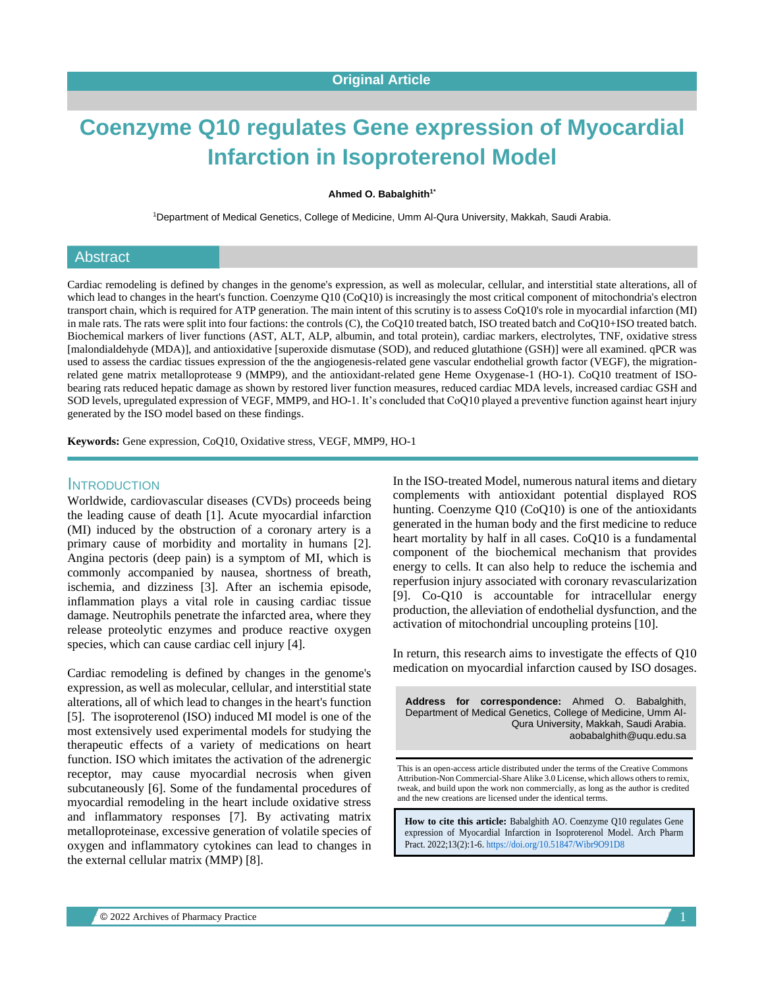# **Coenzyme Q10 regulates Gene expression of Myocardial Infarction in Isoproterenol Model**

**Ahmed O. Babalghith1\***

<sup>1</sup>Department of Medical Genetics, College of Medicine, Umm Al-Qura University, Makkah, Saudi Arabia.

#### **Abstract**

Cardiac remodeling is defined by changes in the genome's expression, as well as molecular, cellular, and interstitial state alterations, all of which lead to changes in the heart's function. Coenzyme Q10 (CoQ10) is increasingly the most critical component of mitochondria's electron transport chain, which is required for ATP generation. The main intent of this scrutiny is to assess CoQ10's role in myocardial infarction (MI) in male rats. The rats were split into four factions: the controls (C), the CoQ10 treated batch, ISO treated batch and CoQ10+ISO treated batch. Biochemical markers of liver functions (AST, ALT, ALP, albumin, and total protein), cardiac markers, electrolytes, TNF, oxidative stress [malondialdehyde (MDA)], and antioxidative [superoxide dismutase (SOD), and reduced glutathione (GSH)] were all examined. qPCR was used to assess the cardiac tissues expression of the the angiogenesis-related gene vascular endothelial growth factor (VEGF), the migrationrelated gene matrix metalloprotease 9 (MMP9), and the antioxidant-related gene Heme Oxygenase-1 (HO-1). CoQ10 treatment of ISObearing rats reduced hepatic damage as shown by restored liver function measures, reduced cardiac MDA levels, increased cardiac GSH and SOD levels, upregulated expression of VEGF, MMP9, and HO-1. It's concluded that CoQ10 played a preventive function against heart injury generated by the ISO model based on these findings.

**Keywords:** Gene expression, CoQ10, Oxidative stress, VEGF, MMP9, HO-1

#### INTRODUCTION

Worldwide, cardiovascular diseases (CVDs) proceeds being the leading cause of death [1]. Acute myocardial infarction (MI) induced by the obstruction of a coronary artery is a primary cause of morbidity and mortality in humans [2]. Angina pectoris (deep pain) is a symptom of MI, which is commonly accompanied by nausea, shortness of breath, ischemia, and dizziness [3]. After an ischemia episode, inflammation plays a vital role in causing cardiac tissue damage. Neutrophils penetrate the infarcted area, where they release proteolytic enzymes and produce reactive oxygen species, which can cause cardiac cell injury [4].

Cardiac remodeling is defined by changes in the genome's expression, as well as molecular, cellular, and interstitial state alterations, all of which lead to changes in the heart's function [5]. The isoproterenol (ISO) induced MI model is one of the most extensively used experimental models for studying the therapeutic effects of a variety of medications on heart function. ISO which imitates the activation of the adrenergic receptor, may cause myocardial necrosis when given subcutaneously [6]. Some of the fundamental procedures of myocardial remodeling in the heart include oxidative stress and inflammatory responses [7]. By activating matrix metalloproteinase, excessive generation of volatile species of oxygen and inflammatory cytokines can lead to changes in the external cellular matrix (MMP) [8].

In the ISO-treated Model, numerous natural items and dietary complements with antioxidant potential displayed ROS hunting. Coenzyme Q10 (CoQ10) is one of the antioxidants generated in the human body and the first medicine to reduce heart mortality by half in all cases. CoQ10 is a fundamental component of the biochemical mechanism that provides energy to cells. It can also help to reduce the ischemia and reperfusion injury associated with coronary revascularization [9]. Co-Q10 is accountable for intracellular energy production, the alleviation of endothelial dysfunction, and the activation of mitochondrial uncoupling proteins [10].

In return, this research aims to investigate the effects of Q10 medication on myocardial infarction caused by ISO dosages.

**Address for correspondence:** Ahmed O. Babalghith, Department of Medical Genetics, College of Medicine, Umm Al-Qura University, Makkah, Saudi Arabia. aobabalghith@uqu.edu.sa

This is an open-access article distributed under the terms of the Creative Commons Attribution-Non Commercial-Share Alike 3.0 License, which allows others to remix, tweak, and build upon the work non commercially, as long as the author is credited and the new creations are licensed under the identical terms.

**How to cite this article:** Babalghith AO. Coenzyme Q10 regulates Gene expression of Myocardial Infarction in Isoproterenol Model. Arch Pharm Pract. 2022;13(2):1-6[. https://doi.org/10.51847/Wibr9O91D8](https://doi.org/10.51847/Wibr9O91D8)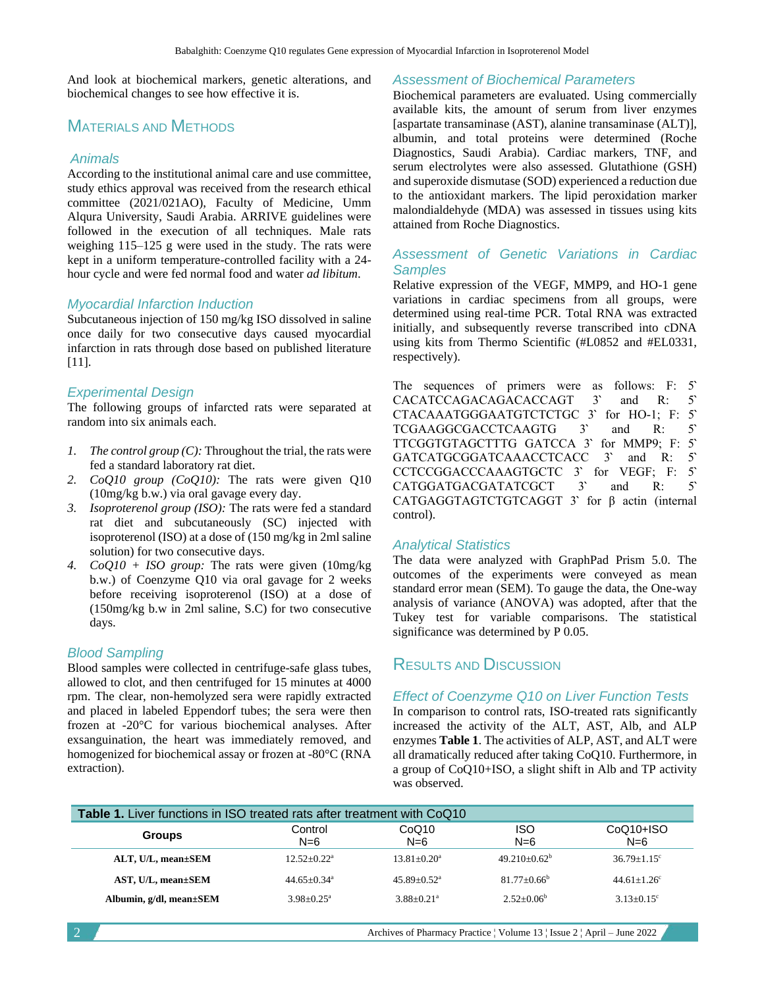And look at biochemical markers, genetic alterations, and biochemical changes to see how effective it is.

# MATERIALS AND METHODS

#### *Animals*

According to the institutional animal care and use committee, study ethics approval was received from the research ethical committee (2021/021AO), Faculty of Medicine, Umm Alqura University, Saudi Arabia. ARRIVE guidelines were followed in the execution of all techniques. Male rats weighing 115–125 g were used in the study. The rats were kept in a uniform temperature-controlled facility with a 24 hour cycle and were fed normal food and water *ad libitum*.

#### *Myocardial Infarction Induction*

Subcutaneous injection of 150 mg/kg ISO dissolved in saline once daily for two consecutive days caused myocardial infarction in rats through dose based on published literature [11].

#### *Experimental Design*

The following groups of infarcted rats were separated at random into six animals each.

- *1. The control group (C):* Throughout the trial, the rats were fed a standard laboratory rat diet.
- *2. CoQ10 group (CoQ10):* The rats were given Q10 (10mg/kg b.w.) via oral gavage every day.
- *3. Isoproterenol group (ISO):* The rats were fed a standard rat diet and subcutaneously (SC) injected with isoproterenol (ISO) at a dose of (150 mg/kg in 2ml saline solution) for two consecutive days.
- *4. CoQ10 + ISO group:* The rats were given (10mg/kg b.w.) of Coenzyme Q10 via oral gavage for 2 weeks before receiving isoproterenol (ISO) at a dose of (150mg/kg b.w in 2ml saline, S.C) for two consecutive days.

## *Blood Sampling*

Blood samples were collected in centrifuge-safe glass tubes, allowed to clot, and then centrifuged for 15 minutes at 4000 rpm. The clear, non-hemolyzed sera were rapidly extracted and placed in labeled Eppendorf tubes; the sera were then frozen at -20°C for various biochemical analyses. After exsanguination, the heart was immediately removed, and homogenized for biochemical assay or frozen at -80°C (RNA extraction).

#### *Assessment of Biochemical Parameters*

Biochemical parameters are evaluated. Using commercially available kits, the amount of serum from liver enzymes [aspartate transaminase (AST), alanine transaminase (ALT)], albumin, and total proteins were determined (Roche Diagnostics, Saudi Arabia). Cardiac markers, TNF, and serum electrolytes were also assessed. Glutathione (GSH) and superoxide dismutase (SOD) experienced a reduction due to the antioxidant markers. The lipid peroxidation marker malondialdehyde (MDA) was assessed in tissues using kits attained from Roche Diagnostics.

#### *Assessment of Genetic Variations in Cardiac Samples*

Relative expression of the VEGF, MMP9, and HO-1 gene variations in cardiac specimens from all groups, were determined using real-time PCR. Total RNA was extracted initially, and subsequently reverse transcribed into cDNA using kits from Thermo Scientific (#L0852 and #EL0331, respectively).

The sequences of primers were as follows: F: 5՝ CACATCCAGACAGACACCAGT 3՝ and R: 5՝ CTACAAATGGGAATGTCTCTGC 3՝ for HO-1; F: 5՝ TCGAAGGCGACCTCAAGTG 3՝ and R: 5՝ TTCGGTGTAGCTTTG GATCCA 3՝ for MMP9; F: 5՝ GATCATGCGGATCAAACCTCACC 3 and R: 5 CCTCCGGACCCAAAGTGCTC 3՝ for VEGF; F: 5՝ CATGGATGACGATATCGCT 3 and R: 5 CATGAGGTAGTCTGTCAGGT 3՝ for β actin (internal control).

#### *Analytical Statistics*

The data were analyzed with GraphPad Prism 5.0. The outcomes of the experiments were conveyed as mean standard error mean (SEM). To gauge the data, the One-way analysis of variance (ANOVA) was adopted, after that the Tukey test for variable comparisons. The statistical significance was determined by P 0.05.

# RESULTS AND DISCUSSION

#### *Effect of Coenzyme Q10 on Liver Function Tests*

In comparison to control rats, ISO-treated rats significantly increased the activity of the ALT, AST, Alb, and ALP enzymes **Table 1**. The activities of ALP, AST, and ALT were all dramatically reduced after taking CoQ10. Furthermore, in a group of CoQ10+ISO, a slight shift in Alb and TP activity was observed.

| <b>Table 1.</b> Liver functions in ISO treated rats after treatment with CoQ10 |                          |                             |                   |                             |  |  |
|--------------------------------------------------------------------------------|--------------------------|-----------------------------|-------------------|-----------------------------|--|--|
| <b>Groups</b>                                                                  | Control<br>$N=6$         | CoQ10<br>$N=6$              | ISO<br>$N=6$      | CoQ10+ISO<br>$N=6$          |  |  |
| ALT, U/L, mean±SEM                                                             | $12.52+0.22^a$           | $13.81 + 0.20^a$            | $49.210 + 0.62^b$ | $36.79 + 1.15$ <sup>c</sup> |  |  |
| AST, U/L, mean±SEM                                                             | $44.65+0.34^a$           | $45.89 + 0.52$ <sup>a</sup> | $81.77+0.66^b$    | $44.61 + 1.26$ °            |  |  |
| Albumin, g/dl, mean±SEM                                                        | $3.98 + 0.25^{\text{a}}$ | $3.88 + 0.21$ <sup>a</sup>  | $2.52+0.06^b$     | $3.13 + 0.15$ <sup>c</sup>  |  |  |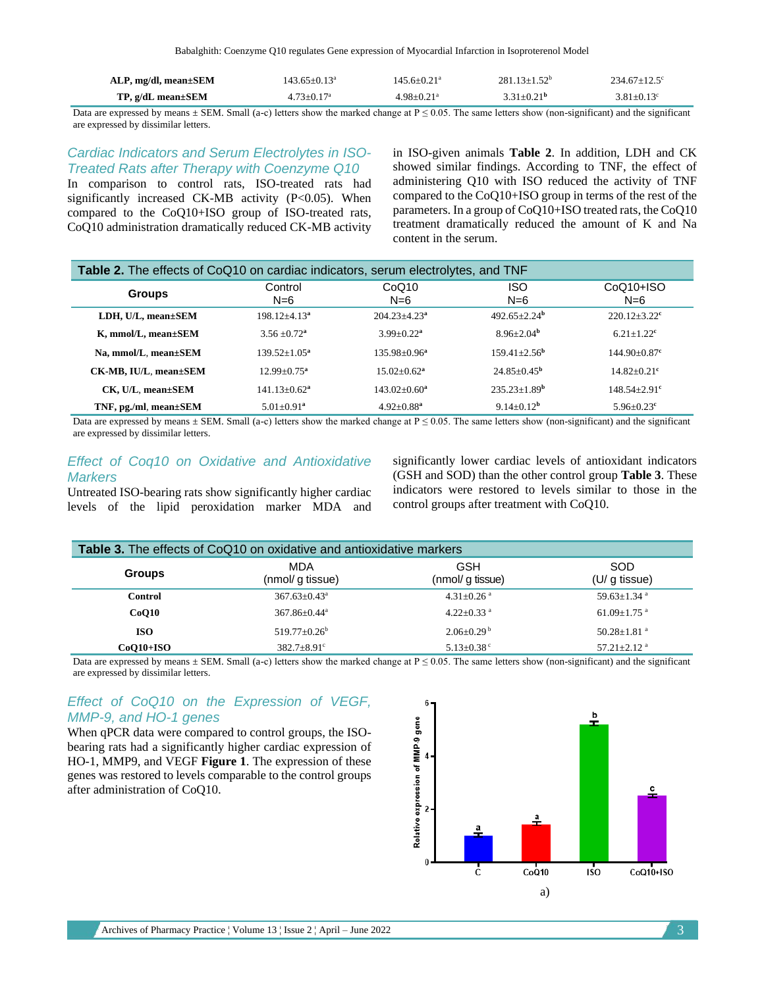Babalghith: Coenzyme Q10 regulates Gene expression of Myocardial Infarction in Isoproterenol Model

| ALP, mg/dl, mean±SEM       | $143.65 + 0.13a$ | $145.6 \pm 0.21^{\circ}$ | 281.13+1.52 <sup>b</sup> | 234 67+12 5° |
|----------------------------|------------------|--------------------------|--------------------------|--------------|
| $TP$ , g/dL mean $\pm$ SEM | $-73 \pm 0.17$ a | $4.98 \pm 0.21^{\rm a}$  | $-31+0.21b$              | $81+0.13$ °  |

Data are expressed by means  $\pm$  SEM. Small (a-c) letters show the marked change at P  $\leq$  0.05. The same letters show (non-significant) and the significant are expressed by dissimilar letters.

#### *Cardiac Indicators and Serum Electrolytes in ISO-Treated Rats after Therapy with Coenzyme Q10*

In comparison to control rats, ISO-treated rats had significantly increased CK-MB activity (P<0.05). When compared to the CoQ10+ISO group of ISO-treated rats, CoQ10 administration dramatically reduced CK-MB activity in ISO-given animals **Table 2**. In addition, LDH and CK showed similar findings. According to TNF, the effect of administering Q10 with ISO reduced the activity of TNF compared to the CoQ10+ISO group in terms of the rest of the parameters. In a group of CoQ10+ISO treated rats, the CoQ10 treatment dramatically reduced the amount of K and Na content in the serum.

| Table 2. The effects of CoQ10 on cardiac indicators, serum electrolytes, and TNF |                            |                            |                              |                              |  |
|----------------------------------------------------------------------------------|----------------------------|----------------------------|------------------------------|------------------------------|--|
| <b>Groups</b>                                                                    | Control<br>$N=6$           | CoQ10<br>$N=6$             | <b>ISO</b><br>$N=6$          | CoQ10+ISO<br>$N=6$           |  |
| LDH, U/L, mean±SEM                                                               | $198.12 + 4.13a$           | $204.23 + 4.23^a$          | $492.65+2.24b$               | $220.12 + 3.22$ <sup>e</sup> |  |
| K, mmol/L, mean±SEM                                                              | $3.56 + 0.72^a$            | $3.99 + 0.22^a$            | $8.96 + 2.04^b$              | $6.21 + 1.22$ <sup>c</sup>   |  |
| Na, mmol/L, mean±SEM                                                             | $139.52 + 1.05^a$          | $135.98 + 0.96^a$          | $159.41 + 2.56^{\mathrm{b}}$ | $144.90 + 0.87$ <sup>c</sup> |  |
| CK-MB, IU/L, mean±SEM                                                            | $12.99 + 0.75^a$           | $15.02 + 0.62^a$           | $24.85+0.45^{\mathrm{b}}$    | $14.82 + 0.21$ <sup>c</sup>  |  |
| CK, U/L, mean±SEM                                                                | $141.13 + 0.62^a$          | $143.02 + 0.60^a$          | $235.23+1.89^b$              | $148.54 + 2.91$ <sup>c</sup> |  |
| TNF, pg./ml, mean $\pm$ SEM                                                      | $5.01 + 0.91$ <sup>a</sup> | $4.92 + 0.88$ <sup>a</sup> | $9.14+0.12b$                 | $5.96 + 0.23$ <sup>c</sup>   |  |

Data are expressed by means  $\pm$  SEM. Small (a-c) letters show the marked change at P  $\leq$  0.05. The same letters show (non-significant) and the significant are expressed by dissimilar letters.

### *Effect of Coq10 on Oxidative and Antioxidative Markers*

Untreated ISO-bearing rats show significantly higher cardiac levels of the lipid peroxidation marker MDA and significantly lower cardiac levels of antioxidant indicators (GSH and SOD) than the other control group **Table 3**. These indicators were restored to levels similar to those in the control groups after treatment with CoQ10.

| <b>Table 3.</b> The effects of CoQ10 on oxidative and antioxidative markers |                              |                              |                             |  |  |
|-----------------------------------------------------------------------------|------------------------------|------------------------------|-----------------------------|--|--|
| <b>Groups</b>                                                               | MDA<br>(nmol/g tissue)       | GSH<br>(nmol/g tissue)       | SOD<br>(U/ g tissue)        |  |  |
| Control                                                                     | $367.63 + 0.43^a$            | $4.31 + 0.26$ <sup>a</sup>   | $59.63 + 1.34$ <sup>a</sup> |  |  |
| CoO10                                                                       | $367.86 + 0.44$ <sup>a</sup> | $4.22+0.33$ <sup>a</sup>     | $61.09 + 1.75$ <sup>a</sup> |  |  |
| <b>ISO</b>                                                                  | $519.77+0.26^b$              | $2.06 + 0.29^{\mathrm{b}}$   | $50.28 + 1.81$ <sup>a</sup> |  |  |
| $CoO10+ISO$                                                                 | $382.7 + 8.91$ °             | $5.13 \pm 0.38$ <sup>c</sup> | $57.21 + 2.12$ <sup>a</sup> |  |  |

Data are expressed by means  $\pm$  SEM. Small (a-c) letters show the marked change at P  $\leq$  0.05. The same letters show (non-significant) and the significant are expressed by dissimilar letters.

# *Effect of CoQ10 on the Expression of VEGF, MMP-9, and HO-1 genes*

When qPCR data were compared to control groups, the ISObearing rats had a significantly higher cardiac expression of HO-1, MMP9, and VEGF **Figure 1**. The expression of these genes was restored to levels comparable to the control groups after administration of CoQ10.

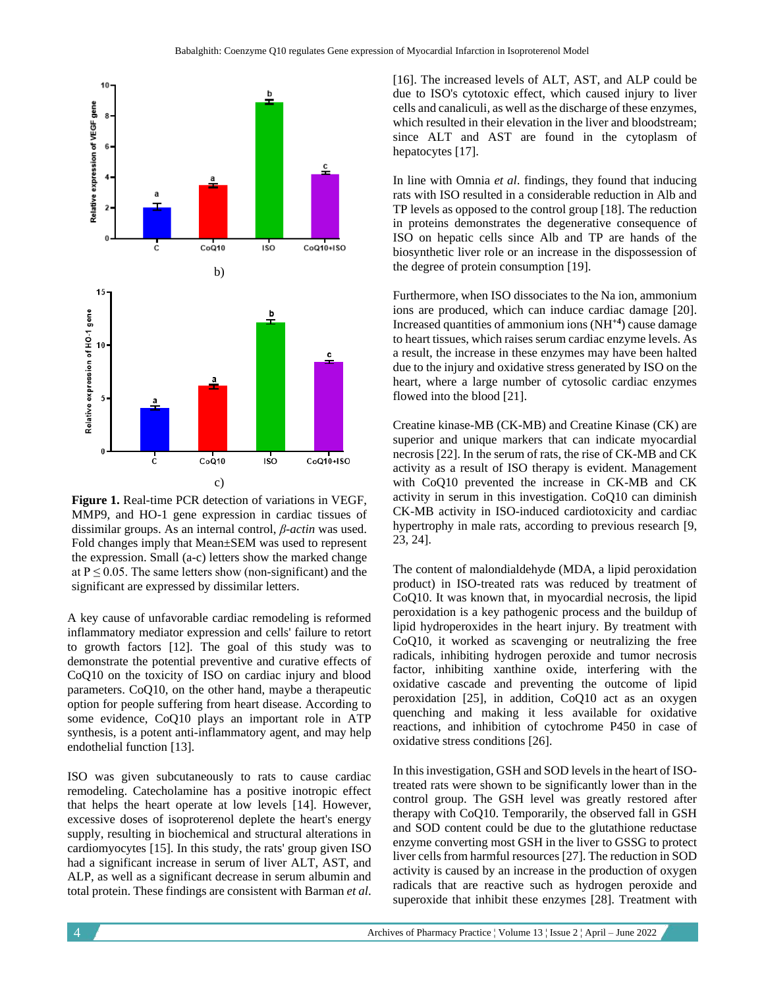

**Figure 1.** Real-time PCR detection of variations in VEGF, MMP9, and HO-1 gene expression in cardiac tissues of dissimilar groups. As an internal control, *β-actin* was used. Fold changes imply that Mean±SEM was used to represent the expression. Small (a-c) letters show the marked change at  $P \le 0.05$ . The same letters show (non-significant) and the significant are expressed by dissimilar letters.

A key cause of unfavorable cardiac remodeling is reformed inflammatory mediator expression and cells' failure to retort to growth factors [12]. The goal of this study was to demonstrate the potential preventive and curative effects of CoQ10 on the toxicity of ISO on cardiac injury and blood parameters. CoQ10, on the other hand, maybe a therapeutic option for people suffering from heart disease. According to some evidence, CoQ10 plays an important role in ATP synthesis, is a potent anti-inflammatory agent, and may help endothelial function [13].

ISO was given subcutaneously to rats to cause cardiac remodeling. Catecholamine has a positive inotropic effect that helps the heart operate at low levels [14]. However, excessive doses of isoproterenol deplete the heart's energy supply, resulting in biochemical and structural alterations in cardiomyocytes [15]. In this study, the rats' group given ISO had a significant increase in serum of liver ALT, AST, and ALP, as well as a significant decrease in serum albumin and total protein. These findings are consistent with Barman *et al*.

[16]. The increased levels of ALT, AST, and ALP could be due to ISO's cytotoxic effect, which caused injury to liver cells and canaliculi, as well as the discharge of these enzymes, which resulted in their elevation in the liver and bloodstream; since ALT and AST are found in the cytoplasm of hepatocytes [17].

In line with Omnia *et al*. findings, they found that inducing rats with ISO resulted in a considerable reduction in Alb and TP levels as opposed to the control group [18]. The reduction in proteins demonstrates the degenerative consequence of ISO on hepatic cells since Alb and TP are hands of the biosynthetic liver role or an increase in the dispossession of the degree of protein consumption [19].

Furthermore, when ISO dissociates to the Na ion, ammonium ions are produced, which can induce cardiac damage [20]. Increased quantities of ammonium ions (NH**+4**) cause damage to heart tissues, which raises serum cardiac enzyme levels. As a result, the increase in these enzymes may have been halted due to the injury and oxidative stress generated by ISO on the heart, where a large number of cytosolic cardiac enzymes flowed into the blood [21].

Creatine kinase-MB (CK-MB) and Creatine Kinase (CK) are superior and unique markers that can indicate myocardial necrosis [22]. In the serum of rats, the rise of CK-MB and CK activity as a result of ISO therapy is evident. Management with CoQ10 prevented the increase in CK-MB and CK activity in serum in this investigation. CoQ10 can diminish CK-MB activity in ISO-induced cardiotoxicity and cardiac hypertrophy in male rats, according to previous research [9, 23, 24].

The content of malondialdehyde (MDA, a lipid peroxidation product) in ISO-treated rats was reduced by treatment of CoQ10. It was known that, in myocardial necrosis, the lipid peroxidation is a key pathogenic process and the buildup of lipid hydroperoxides in the heart injury. By treatment with CoQ10, it worked as scavenging or neutralizing the free radicals, inhibiting hydrogen peroxide and tumor necrosis factor, inhibiting xanthine oxide, interfering with the oxidative cascade and preventing the outcome of lipid peroxidation [25], in addition, CoQ10 act as an oxygen quenching and making it less available for oxidative reactions, and inhibition of cytochrome P450 in case of oxidative stress conditions [26].

In this investigation, GSH and SOD levels in the heart of ISOtreated rats were shown to be significantly lower than in the control group. The GSH level was greatly restored after therapy with CoQ10. Temporarily, the observed fall in GSH and SOD content could be due to the glutathione reductase enzyme converting most GSH in the liver to GSSG to protect liver cells from harmful resources [27]. The reduction in SOD activity is caused by an increase in the production of oxygen radicals that are reactive such as hydrogen peroxide and superoxide that inhibit these enzymes [28]. Treatment with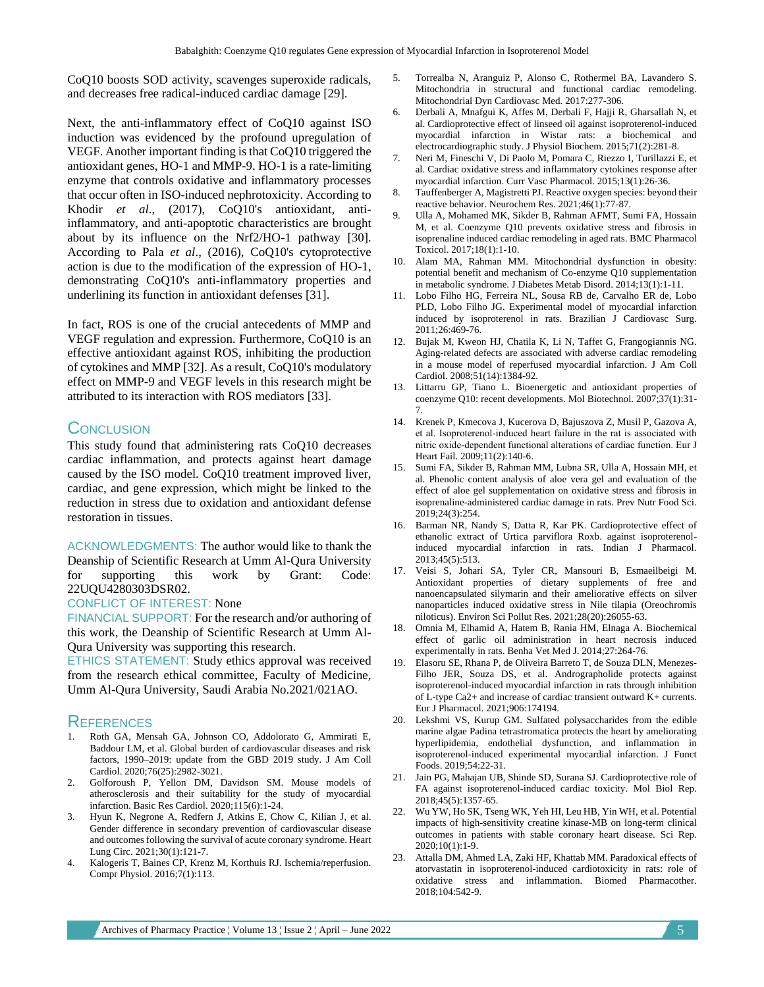CoQ10 boosts SOD activity, scavenges superoxide radicals, and decreases free radical-induced cardiac damage [29].

Next, the anti-inflammatory effect of CoQ10 against ISO induction was evidenced by the profound upregulation of VEGF. Another important finding is that CoQ10 triggered the antioxidant genes, HO-1 and MMP-9. HO-1 is a rate-limiting enzyme that controls oxidative and inflammatory processes that occur often in ISO-induced nephrotoxicity. According to Khodir *et al*., (2017), CoQ10's antioxidant, antiinflammatory, and anti-apoptotic characteristics are brought about by its influence on the Nrf2/HO-1 pathway [30]. According to Pala *et al*., (2016), CoQ10's cytoprotective action is due to the modification of the expression of HO-1, demonstrating CoQ10's anti-inflammatory properties and underlining its function in antioxidant defenses [31].

In fact, ROS is one of the crucial antecedents of MMP and VEGF regulation and expression. Furthermore, CoQ10 is an effective antioxidant against ROS, inhibiting the production of cytokines and MMP [32]. As a result, CoQ10's modulatory effect on MMP-9 and VEGF levels in this research might be attributed to its interaction with ROS mediators [33].

# **CONCLUSION**

This study found that administering rats CoQ10 decreases cardiac inflammation, and protects against heart damage caused by the ISO model. CoQ10 treatment improved liver, cardiac, and gene expression, which might be linked to the reduction in stress due to oxidation and antioxidant defense restoration in tissues.

ACKNOWLEDGMENTS: The author would like to thank the Deanship of Scientific Research at Umm Al-Qura University for supporting this work by Grant: Code: 22UQU4280303DSR02.

#### CONFLICT OF INTEREST: None

FINANCIAL SUPPORT: For the research and/or authoring of this work, the Deanship of Scientific Research at Umm Al-Qura University was supporting this research.

ETHICS STATEMENT: Study ethics approval was received from the research ethical committee, Faculty of Medicine, Umm Al-Qura University, Saudi Arabia No.2021/021AO.

#### **REFERENCES**

- 1. Roth GA, Mensah GA, Johnson CO, Addolorato G, Ammirati E, Baddour LM, et al. Global burden of cardiovascular diseases and risk factors, 1990–2019: update from the GBD 2019 study. J Am Coll Cardiol. 2020;76(25):2982-3021.
- 2. Golforoush P, Yellon DM, Davidson SM. Mouse models of atherosclerosis and their suitability for the study of myocardial infarction. Basic Res Cardiol. 2020;115(6):1-24.
- 3. Hyun K, Negrone A, Redfern J, Atkins E, Chow C, Kilian J, et al. Gender difference in secondary prevention of cardiovascular disease and outcomes following the survival of acute coronary syndrome. Heart Lung Circ. 2021;30(1):121-7.
- 4. Kalogeris T, Baines CP, Krenz M, Korthuis RJ. Ischemia/reperfusion. Compr Physiol. 2016;7(1):113.
- 5. Torrealba N, Aranguiz P, Alonso C, Rothermel BA, Lavandero S. Mitochondria in structural and functional cardiac remodeling. Mitochondrial Dyn Cardiovasc Med. 2017:277-306.
- 6. Derbali A, Mnafgui K, Affes M, Derbali F, Hajji R, Gharsallah N, et al. Cardioprotective effect of linseed oil against isoproterenol-induced myocardial infarction in Wistar rats: a biochemical and electrocardiographic study. J Physiol Biochem. 2015;71(2):281-8.
- 7. Neri M, Fineschi V, Di Paolo M, Pomara C, Riezzo I, Turillazzi E, et al. Cardiac oxidative stress and inflammatory cytokines response after myocardial infarction. Curr Vasc Pharmacol. 2015;13(1):26-36.
- 8. Tauffenberger A, Magistretti PJ. Reactive oxygen species: beyond their reactive behavior. Neurochem Res. 2021;46(1):77-87.
- 9. Ulla A, Mohamed MK, Sikder B, Rahman AFMT, Sumi FA, Hossain M, et al. Coenzyme Q10 prevents oxidative stress and fibrosis in isoprenaline induced cardiac remodeling in aged rats. BMC Pharmacol Toxicol. 2017;18(1):1-10.
- 10. Alam MA, Rahman MM. Mitochondrial dysfunction in obesity: potential benefit and mechanism of Co-enzyme Q10 supplementation in metabolic syndrome. J Diabetes Metab Disord. 2014;13(1):1-11.
- 11. Lobo Filho HG, Ferreira NL, Sousa RB de, Carvalho ER de, Lobo PLD, Lobo Filho JG. Experimental model of myocardial infarction induced by isoproterenol in rats. Brazilian J Cardiovasc Surg. 2011;26:469-76.
- 12. Bujak M, Kweon HJ, Chatila K, Li N, Taffet G, Frangogiannis NG. Aging-related defects are associated with adverse cardiac remodeling in a mouse model of reperfused myocardial infarction. J Am Coll Cardiol. 2008;51(14):1384-92.
- 13. Littarru GP, Tiano L. Bioenergetic and antioxidant properties of coenzyme Q10: recent developments. Mol Biotechnol. 2007;37(1):31- 7.
- 14. Krenek P, Kmecova J, Kucerova D, Bajuszova Z, Musil P, Gazova A, et al. Isoproterenol‐induced heart failure in the rat is associated with nitric oxide‐dependent functional alterations of cardiac function. Eur J Heart Fail. 2009;11(2):140-6.
- 15. Sumi FA, Sikder B, Rahman MM, Lubna SR, Ulla A, Hossain MH, et al. Phenolic content analysis of aloe vera gel and evaluation of the effect of aloe gel supplementation on oxidative stress and fibrosis in isoprenaline-administered cardiac damage in rats. Prev Nutr Food Sci. 2019;24(3):254.
- 16. Barman NR, Nandy S, Datta R, Kar PK. Cardioprotective effect of ethanolic extract of Urtica parviflora Roxb. against isoproterenolinduced myocardial infarction in rats. Indian J Pharmacol. 2013;45(5):513.
- 17. Veisi S, Johari SA, Tyler CR, Mansouri B, Esmaeilbeigi M. Antioxidant properties of dietary supplements of free and nanoencapsulated silymarin and their ameliorative effects on silver nanoparticles induced oxidative stress in Nile tilapia (Oreochromis niloticus). Environ Sci Pollut Res. 2021;28(20):26055-63.
- 18. Omnia M, Elhamid A, Hatem B, Rania HM, Elnaga A. Biochemical effect of garlic oil administration in heart necrosis induced experimentally in rats. Benha Vet Med J. 2014;27:264-76.
- 19. Elasoru SE, Rhana P, de Oliveira Barreto T, de Souza DLN, Menezes-Filho JER, Souza DS, et al. Andrographolide protects against isoproterenol-induced myocardial infarction in rats through inhibition of L-type Ca2+ and increase of cardiac transient outward K+ currents. Eur J Pharmacol. 2021;906:174194.
- 20. Lekshmi VS, Kurup GM. Sulfated polysaccharides from the edible marine algae Padina tetrastromatica protects the heart by ameliorating hyperlipidemia, endothelial dysfunction, and inflammation in isoproterenol-induced experimental myocardial infarction. J Funct Foods. 2019;54:22-31.
- 21. Jain PG, Mahajan UB, Shinde SD, Surana SJ. Cardioprotective role of FA against isoproterenol-induced cardiac toxicity. Mol Biol Rep. 2018;45(5):1357-65.
- 22. Wu YW, Ho SK, Tseng WK, Yeh HI, Leu HB, Yin WH, et al. Potential impacts of high-sensitivity creatine kinase-MB on long-term clinical outcomes in patients with stable coronary heart disease. Sci Rep. 2020;10(1):1-9.
- 23. Attalla DM, Ahmed LA, Zaki HF, Khattab MM. Paradoxical effects of atorvastatin in isoproterenol-induced cardiotoxicity in rats: role of oxidative stress and inflammation. Biomed Pharmacother. 2018;104:542-9.